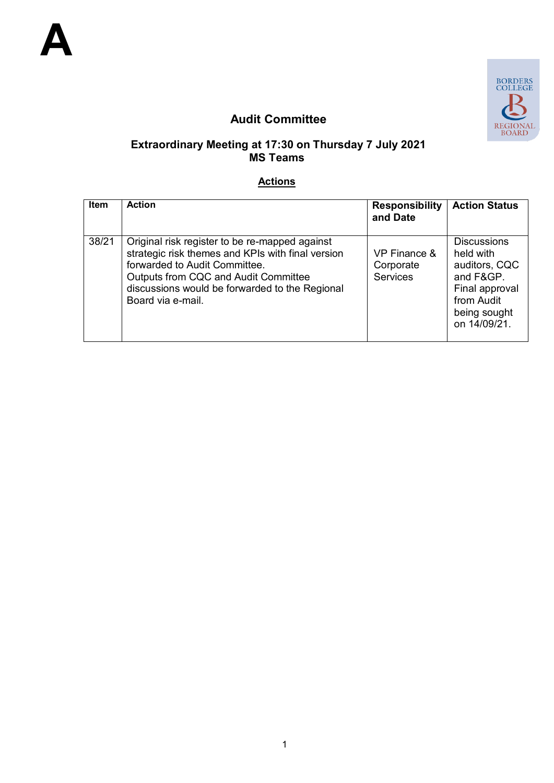

# **Audit Committee**

#### **Extraordinary Meeting at 17:30 on Thursday 7 July 2021 MS Teams**

#### **Actions**

| <b>Item</b> | <b>Action</b>                                                                                                                                                                                                                                       | <b>Responsibility</b><br>and Date            | <b>Action Status</b>                                                                                                          |
|-------------|-----------------------------------------------------------------------------------------------------------------------------------------------------------------------------------------------------------------------------------------------------|----------------------------------------------|-------------------------------------------------------------------------------------------------------------------------------|
| 38/21       | Original risk register to be re-mapped against<br>strategic risk themes and KPIs with final version<br>forwarded to Audit Committee.<br>Outputs from CQC and Audit Committee<br>discussions would be forwarded to the Regional<br>Board via e-mail. | VP Finance &<br>Corporate<br><b>Services</b> | <b>Discussions</b><br>held with<br>auditors, CQC<br>and F&GP.<br>Final approval<br>from Audit<br>being sought<br>on 14/09/21. |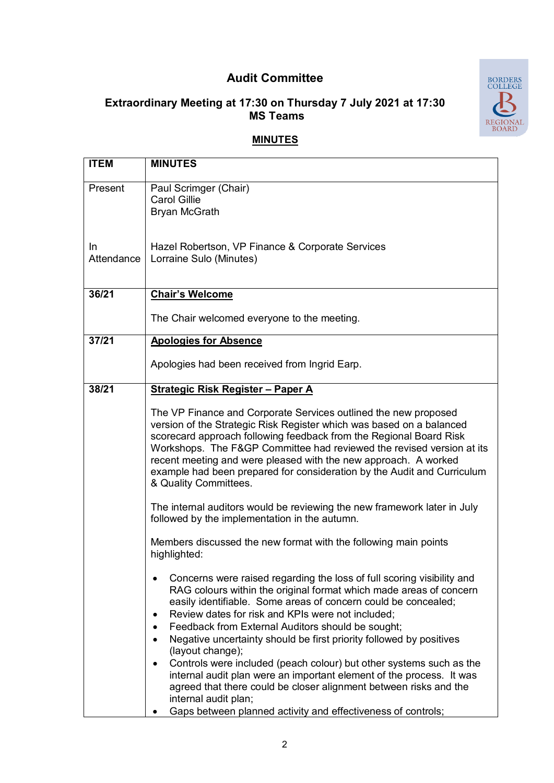# **Audit Committee**

# **Extraordinary Meeting at 17:30 on Thursday 7 July 2021 at 17:30 MS Teams**



### **MINUTES**

| <b>MINUTES</b>                                                                                                                              |
|---------------------------------------------------------------------------------------------------------------------------------------------|
|                                                                                                                                             |
| Paul Scrimger (Chair)                                                                                                                       |
| <b>Carol Gillie</b>                                                                                                                         |
| <b>Bryan McGrath</b>                                                                                                                        |
|                                                                                                                                             |
| Hazel Robertson, VP Finance & Corporate Services                                                                                            |
| Lorraine Sulo (Minutes)                                                                                                                     |
|                                                                                                                                             |
|                                                                                                                                             |
| <b>Chair's Welcome</b>                                                                                                                      |
| The Chair welcomed everyone to the meeting.                                                                                                 |
|                                                                                                                                             |
| <b>Apologies for Absence</b>                                                                                                                |
| Apologies had been received from Ingrid Earp.                                                                                               |
|                                                                                                                                             |
| <b>Strategic Risk Register - Paper A</b>                                                                                                    |
|                                                                                                                                             |
| The VP Finance and Corporate Services outlined the new proposed                                                                             |
| version of the Strategic Risk Register which was based on a balanced                                                                        |
| scorecard approach following feedback from the Regional Board Risk<br>Workshops. The F&GP Committee had reviewed the revised version at its |
| recent meeting and were pleased with the new approach. A worked                                                                             |
| example had been prepared for consideration by the Audit and Curriculum                                                                     |
| & Quality Committees.                                                                                                                       |
|                                                                                                                                             |
| The internal auditors would be reviewing the new framework later in July                                                                    |
| followed by the implementation in the autumn.                                                                                               |
| Members discussed the new format with the following main points                                                                             |
| highlighted:                                                                                                                                |
|                                                                                                                                             |
| Concerns were raised regarding the loss of full scoring visibility and                                                                      |
| RAG colours within the original format which made areas of concern<br>easily identifiable. Some areas of concern could be concealed;        |
| Review dates for risk and KPIs were not included;                                                                                           |
| Feedback from External Auditors should be sought;                                                                                           |
| Negative uncertainty should be first priority followed by positives                                                                         |
| (layout change);                                                                                                                            |
| Controls were included (peach colour) but other systems such as the                                                                         |
| internal audit plan were an important element of the process. It was                                                                        |
| agreed that there could be closer alignment between risks and the                                                                           |
| internal audit plan;<br>Gaps between planned activity and effectiveness of controls;                                                        |
|                                                                                                                                             |